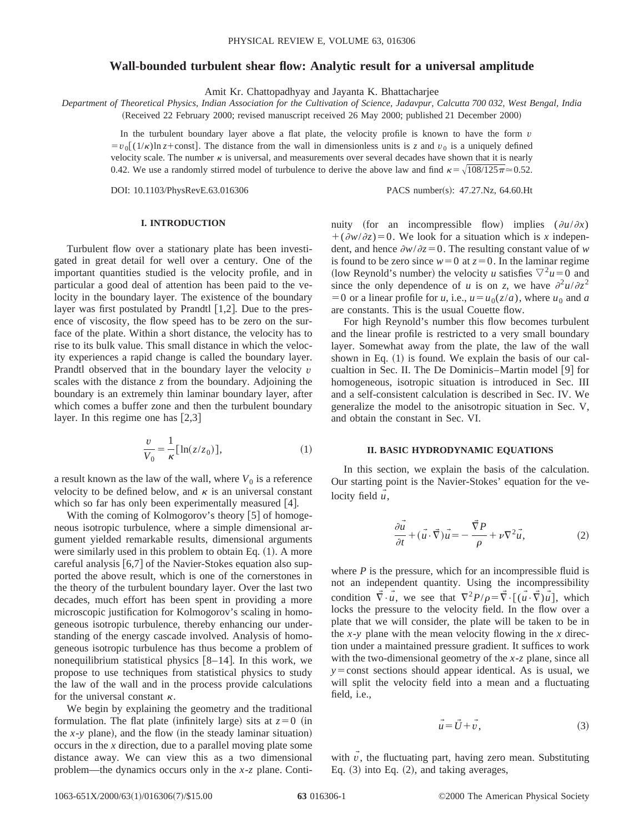### **Wall-bounded turbulent shear flow: Analytic result for a universal amplitude**

Amit Kr. Chattopadhyay and Jayanta K. Bhattacharjee

*Department of Theoretical Physics, Indian Association for the Cultivation of Science, Jadavpur, Calcutta 700 032, West Bengal, India*

(Received 22 February 2000; revised manuscript received 26 May 2000; published 21 December 2000)

In the turbulent boundary layer above a flat plate, the velocity profile is known to have the form  $v$  $=v_0$  (1/k)ln *z*+const. The distance from the wall in dimensionless units is *z* and  $v_0$  is a uniquely defined velocity scale. The number  $\kappa$  is universal, and measurements over several decades have shown that it is nearly 0.42. We use a randomly stirred model of turbulence to derive the above law and find  $\kappa = \sqrt{108/125\pi} \approx 0.52$ .

DOI: 10.1103/PhysRevE.63.016306 PACS number(s): 47.27.Nz, 64.60.Ht

## **I. INTRODUCTION**

Turbulent flow over a stationary plate has been investigated in great detail for well over a century. One of the important quantities studied is the velocity profile, and in particular a good deal of attention has been paid to the velocity in the boundary layer. The existence of the boundary layer was first postulated by Prandtl  $[1,2]$ . Due to the presence of viscosity, the flow speed has to be zero on the surface of the plate. Within a short distance, the velocity has to rise to its bulk value. This small distance in which the velocity experiences a rapid change is called the boundary layer. Prandtl observed that in the boundary layer the velocity *v* scales with the distance *z* from the boundary. Adjoining the boundary is an extremely thin laminar boundary layer, after which comes a buffer zone and then the turbulent boundary layer. In this regime one has  $[2,3]$ 

$$
\frac{v}{V_0} = \frac{1}{\kappa} \left[ \ln(z/z_0) \right],\tag{1}
$$

a result known as the law of the wall, where  $V_0$  is a reference velocity to be defined below, and  $\kappa$  is an universal constant which so far has only been experimentally measured  $[4]$ .

With the coming of Kolmogorov's theory  $\lceil 5 \rceil$  of homogeneous isotropic turbulence, where a simple dimensional argument yielded remarkable results, dimensional arguments were similarly used in this problem to obtain Eq.  $(1)$ . A more careful analysis  $[6,7]$  of the Navier-Stokes equation also supported the above result, which is one of the cornerstones in the theory of the turbulent boundary layer. Over the last two decades, much effort has been spent in providing a more microscopic justification for Kolmogorov's scaling in homogeneous isotropic turbulence, thereby enhancing our understanding of the energy cascade involved. Analysis of homogeneous isotropic turbulence has thus become a problem of nonequilibrium statistical physics  $[8-14]$ . In this work, we propose to use techniques from statistical physics to study the law of the wall and in the process provide calculations for the universal constant  $\kappa$ .

We begin by explaining the geometry and the traditional formulation. The flat plate (infinitely large) sits at  $z=0$  (in the  $x$ -*y* plane), and the flow (in the steady laminar situation) occurs in the *x* direction, due to a parallel moving plate some distance away. We can view this as a two dimensional problem—the dynamics occurs only in the *x*-*z* plane. Continuity (for an incompressible flow) implies  $(\partial u/\partial x)$  $+($  $\frac{\partial w}{\partial z})=0$ . We look for a situation which is *x* independent, and hence  $\partial w/\partial z = 0$ . The resulting constant value of *w* is found to be zero since  $w=0$  at  $z=0$ . In the laminar regime (low Reynold's number) the velocity *u* satisfies  $\nabla^2 u = 0$  and since the only dependence of *u* is on *z*, we have  $\partial^2 u / \partial z^2$  $=0$  or a linear profile for *u*, i.e.,  $u=u_0(z/a)$ , where  $u_0$  and *a* are constants. This is the usual Couette flow.

For high Reynold's number this flow becomes turbulent and the linear profile is restricted to a very small boundary layer. Somewhat away from the plate, the law of the wall shown in Eq.  $(1)$  is found. We explain the basis of our calcualtion in Sec. II. The De Dominicis–Martin model [9] for homogeneous, isotropic situation is introduced in Sec. III and a self-consistent calculation is described in Sec. IV. We generalize the model to the anisotropic situation in Sec. V, and obtain the constant in Sec. VI.

### **II. BASIC HYDRODYNAMIC EQUATIONS**

In this section, we explain the basis of the calculation. Our starting point is the Navier-Stokes' equation for the velocity field  $\hat{u}$ ,

$$
\frac{\partial \vec{u}}{\partial t} + (\vec{u} \cdot \vec{\nabla}) \vec{u} = -\frac{\vec{\nabla} P}{\rho} + \nu \nabla^2 \vec{u},\tag{2}
$$

where  $P$  is the pressure, which for an incompressible fluid is not an independent quantity. Using the incompressibility condition  $\vec{\nabla} \cdot \vec{u}$ , we see that  $\nabla^2 P/\rho = \vec{\nabla} \cdot [(\vec{u} \cdot \vec{\nabla}) \vec{u}]$ , which locks the pressure to the velocity field. In the flow over a plate that we will consider, the plate will be taken to be in the *x*-*y* plane with the mean velocity flowing in the *x* direction under a maintained pressure gradient. It suffices to work with the two-dimensional geometry of the *x*-*z* plane, since all  $y =$ const sections should appear identical. As is usual, we will split the velocity field into a mean and a fluctuating field, i.e.,

$$
\vec{u} = \vec{U} + \vec{v},\tag{3}
$$

with  $v$ , the fluctuating part, having zero mean. Substituting Eq.  $(3)$  into Eq.  $(2)$ , and taking averages,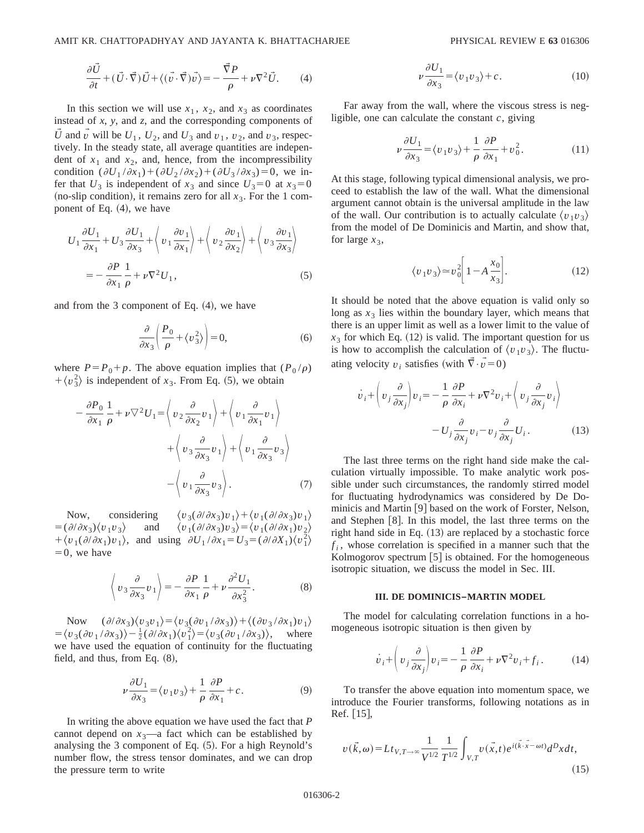$$
\frac{\partial \vec{U}}{\partial t} + (\vec{U} \cdot \vec{\nabla}) \vec{U} + \langle (\vec{v} \cdot \vec{\nabla}) \vec{v} \rangle = -\frac{\vec{\nabla} P}{\rho} + \nu \nabla^2 \vec{U}.
$$
 (4)

In this section we will use  $x_1$ ,  $x_2$ , and  $x_3$  as coordinates instead of *x*, *y*, and *z*, and the corresponding components of *U* and *v* will be  $U_1$ ,  $U_2$ , and  $U_3$  and  $v_1$ ,  $v_2$ , and  $v_3$ , respectively. In the steady state, all average quantities are independent of  $x_1$  and  $x_2$ , and, hence, from the incompressibility condition  $(\partial U_1 / \partial x_1) + (\partial U_2 / \partial x_2) + (\partial U_3 / \partial x_3) = 0$ , we infer that  $U_3$  is independent of  $x_3$  and since  $U_3=0$  at  $x_3=0$ (no-slip condition), it remains zero for all  $x_3$ . For the 1 component of Eq.  $(4)$ , we have

$$
U_1 \frac{\partial U_1}{\partial x_1} + U_3 \frac{\partial U_1}{\partial x_3} + \left\langle v_1 \frac{\partial v_1}{\partial x_1} \right\rangle + \left\langle v_2 \frac{\partial v_1}{\partial x_2} \right\rangle + \left\langle v_3 \frac{\partial v_1}{\partial x_3} \right\rangle
$$
  
= 
$$
- \frac{\partial P}{\partial x_1} \frac{1}{\rho} + \nu \nabla^2 U_1,
$$
 (5)

and from the 3 component of Eq.  $(4)$ , we have

$$
\frac{\partial}{\partial x_3} \left( \frac{P_0}{\rho} + \langle v_3^2 \rangle \right) = 0, \tag{6}
$$

where  $P = P_0 + p$ . The above equation implies that  $(P_0 / \rho)$  $+\langle v_3^2 \rangle$  is independent of *x*<sub>3</sub>. From Eq. (5), we obtain

$$
-\frac{\partial P_0}{\partial x_1} \frac{1}{\rho} + \nu \nabla^2 U_1 = \left\langle v_2 \frac{\partial}{\partial x_2} v_1 \right\rangle + \left\langle v_1 \frac{\partial}{\partial x_1} v_1 \right\rangle + \left\langle v_3 \frac{\partial}{\partial x_3} v_1 \right\rangle + \left\langle v_1 \frac{\partial}{\partial x_3} v_3 \right\rangle - \left\langle v_1 \frac{\partial}{\partial x_3} v_3 \right\rangle.
$$
 (7)

Now, considering  $\langle v_3(\partial/\partial x_3)v_1\rangle + \langle v_1(\partial/\partial x_3)v_1\rangle$  $=$   $(\partial/\partial x_3)\langle v_1v_3\rangle$  and  $\langle v_1(\partial/\partial x_3)v_3\rangle = \langle v_1(\partial/\partial x_1)v_2\rangle$  $+\langle v_1(\partial/\partial x_1)v_1\rangle$ , and using  $\partial U_1/\partial x_1 = U_3 = (\partial/\partial X_1)\langle v_1^2\rangle$  $=0$ , we have

$$
\left\langle v_3 \frac{\partial}{\partial x_3} v_1 \right\rangle = -\frac{\partial P}{\partial x_1} \frac{1}{\rho} + \nu \frac{\partial^2 U_1}{\partial x_3^2}.
$$
 (8)

Now  $(\partial/\partial x_3)\langle v_3v_1\rangle = \langle v_3(\partial v_1/\partial x_3)\rangle + \langle (\partial v_3/\partial x_1)v_1\rangle$  $= \langle v_3(\partial v_1/\partial x_3)\rangle - \frac{1}{2}(\partial/\partial x_1)\langle v_1^2\rangle = \langle v_3(\partial v_1/\partial x_3)\rangle$ , where we have used the equation of continuity for the fluctuating field, and thus, from Eq.  $(8)$ ,

$$
\nu \frac{\partial U_1}{\partial x_3} = \langle v_1 v_3 \rangle + \frac{1}{\rho} \frac{\partial P}{\partial x_1} + c. \tag{9}
$$

In writing the above equation we have used the fact that *P* cannot depend on  $x_3$ —a fact which can be established by analysing the 3 component of Eq.  $(5)$ . For a high Reynold's number flow, the stress tensor dominates, and we can drop the pressure term to write

$$
\nu \frac{\partial U_1}{\partial x_3} = \langle v_1 v_3 \rangle + c. \tag{10}
$$

Far away from the wall, where the viscous stress is negligible, one can calculate the constant *c*, giving

$$
\nu \frac{\partial U_1}{\partial x_3} = \langle v_1 v_3 \rangle + \frac{1}{\rho} \frac{\partial P}{\partial x_1} + v_0^2. \tag{11}
$$

At this stage, following typical dimensional analysis, we proceed to establish the law of the wall. What the dimensional argument cannot obtain is the universal amplitude in the law of the wall. Our contribution is to actually calculate  $\langle v_1 v_3 \rangle$ from the model of De Dominicis and Martin, and show that, for large  $x_3$ ,

$$
\langle v_1 v_3 \rangle \approx v_0^2 \left[ 1 - A \frac{x_0}{x_3} \right]. \tag{12}
$$

It should be noted that the above equation is valid only so long as  $x_3$  lies within the boundary layer, which means that there is an upper limit as well as a lower limit to the value of  $x_3$  for which Eq. (12) is valid. The important question for us is how to accomplish the calculation of  $\langle v_1 v_3 \rangle$ . The fluctuating velocity  $v_i$  satisfies (with  $\vec{\nabla} \cdot \vec{v} = 0$ )

$$
\dot{v}_i + \left(v_j \frac{\partial}{\partial x_j}\right) v_i = -\frac{1}{\rho} \frac{\partial P}{\partial x_i} + \nu \nabla^2 v_i + \left(v_j \frac{\partial}{\partial x_j} v_i\right)
$$

$$
-U_j \frac{\partial}{\partial x_j} v_i - v_j \frac{\partial}{\partial x_j} U_i.
$$
(13)

The last three terms on the right hand side make the calculation virtually impossible. To make analytic work possible under such circumstances, the randomly stirred model for fluctuating hydrodynamics was considered by De Dominicis and Martin [9] based on the work of Forster, Nelson, and Stephen  $[8]$ . In this model, the last three terms on the right hand side in Eq.  $(13)$  are replaced by a stochastic force  $f_i$ , whose correlation is specified in a manner such that the Kolmogorov spectrum  $[5]$  is obtained. For the homogeneous isotropic situation, we discuss the model in Sec. III.

#### **III. DE DOMINICIS–MARTIN MODEL**

The model for calculating correlation functions in a homogeneous isotropic situation is then given by

$$
\dot{v}_i + \left(v_j \frac{\partial}{\partial x_j}\right) v_i = -\frac{1}{\rho} \frac{\partial P}{\partial x_i} + \nu \nabla^2 v_i + f_i. \tag{14}
$$

To transfer the above equation into momentum space, we introduce the Fourier transforms, following notations as in  $Ref. [15]$ ,

$$
v(\vec{k}, \omega) = Lt_{V, T \to \infty} \frac{1}{V^{1/2}} \frac{1}{T^{1/2}} \int_{V, T} v(\vec{x}, t) e^{i(\vec{k} \cdot \vec{x} - \omega t)} d^D x dt,
$$
\n(15)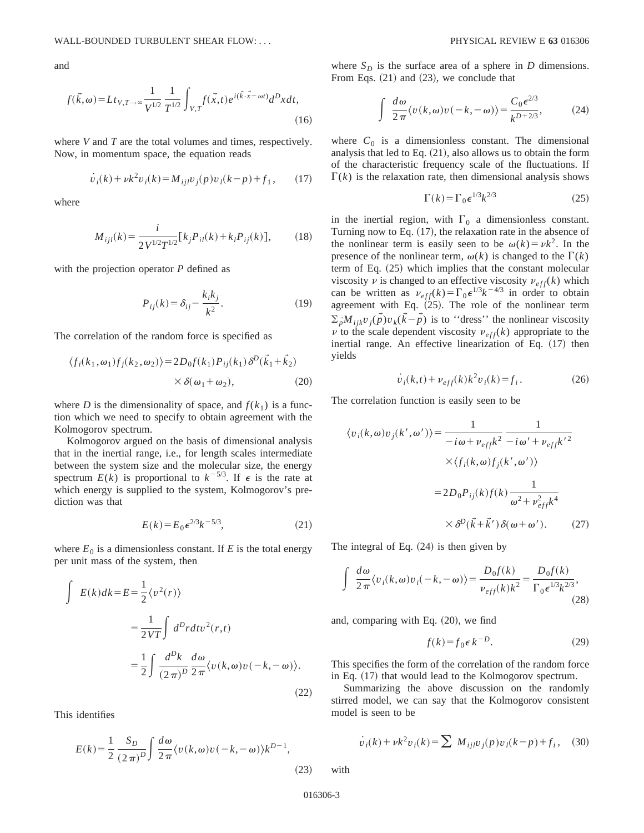and

$$
f(\vec{k}, \omega) = Lt_{V, T \to \infty} \frac{1}{V^{1/2}} \frac{1}{T^{1/2}} \int_{V, T} f(\vec{x}, t) e^{i(\vec{k} \cdot \vec{x} - \omega t)} d^D x dt,
$$
\n(16)

where *V* and *T* are the total volumes and times, respectively. Now, in momentum space, the equation reads

$$
\dot{v}_i(k) + \nu k^2 v_i(k) = M_{ijl} v_j(p) v_l(k-p) + f_1,\qquad(17)
$$

where

$$
M_{ijl}(k) = \frac{i}{2V^{1/2}T^{1/2}} [k_j P_{il}(k) + k_l P_{ij}(k)],
$$
 (18)

with the projection operator *P* defined as

$$
P_{ij}(k) = \delta_{ij} - \frac{k_i k_j}{k^2}.
$$
\n(19)

The correlation of the random force is specified as

$$
\langle f_i(k_1, \omega_1) f_j(k_2, \omega_2) \rangle = 2D_0 f(k_1) P_{ij}(k_1) \delta^D(\vec{k}_1 + \vec{k}_2)
$$
  
 
$$
\times \delta(\omega_1 + \omega_2), \qquad (20)
$$

where *D* is the dimensionality of space, and  $f(k_1)$  is a function which we need to specify to obtain agreement with the Kolmogorov spectrum.

Kolmogorov argued on the basis of dimensional analysis that in the inertial range, i.e., for length scales intermediate between the system size and the molecular size, the energy spectrum  $E(k)$  is proportional to  $k^{-5/3}$ . If  $\epsilon$  is the rate at which energy is supplied to the system, Kolmogorov's prediction was that

$$
E(k) = E_0 e^{2/3} k^{-5/3},
$$
 (21)

where  $E_0$  is a dimensionless constant. If  $E$  is the total energy per unit mass of the system, then

$$
\int E(k)dk = E = \frac{1}{2} \langle v^2(r) \rangle
$$
  
= 
$$
\frac{1}{2VT} \int d^D r dt v^2(r,t)
$$
  
= 
$$
\frac{1}{2} \int \frac{d^D k}{(2\pi)^D} \frac{d\omega}{2\pi} \langle v(k,\omega)v(-k,-\omega) \rangle.
$$
 (22)

This identifies

$$
E(k) = \frac{1}{2} \frac{S_D}{(2\pi)^D} \int \frac{d\omega}{2\pi} \langle v(k,\omega)v(-k,-\omega) \rangle k^{D-1},\tag{23}
$$

where  $S_D$  is the surface area of a sphere in *D* dimensions. From Eqs.  $(21)$  and  $(23)$ , we conclude that

$$
\int \frac{d\omega}{2\pi} \langle v(k,\omega)v(-k,-\omega) \rangle = \frac{C_0 \epsilon^{2/3}}{k^{D+2/3}},
$$
 (24)

where  $C_0$  is a dimensionless constant. The dimensional analysis that led to Eq.  $(21)$ , also allows us to obtain the form of the characteristic frequency scale of the fluctuations. If  $\Gamma(k)$  is the relaxation rate, then dimensional analysis shows

$$
\Gamma(k) = \Gamma_0 \epsilon^{1/3} k^{2/3} \tag{25}
$$

in the inertial region, with  $\Gamma_0$  a dimensionless constant. Turning now to Eq.  $(17)$ , the relaxation rate in the absence of the nonlinear term is easily seen to be  $\omega(k) = \nu k^2$ . In the presence of the nonlinear term,  $\omega(k)$  is changed to the  $\Gamma(k)$ term of Eq.  $(25)$  which implies that the constant molecular viscosity  $\nu$  is changed to an effective viscosity  $\nu_{eff}(k)$  which can be written as  $\nu_{eff}(k) = \Gamma_0 \epsilon^{1/3} k^{-4/3}$  in order to obtain agreement with Eq.  $(25)$ . The role of the nonlinear term  $\sum_{\vec{p}} M_{ijk} v_j(\vec{p}) v_k(\vec{k} - \vec{p})$  is to "dress" the nonlinear viscosity  $\nu$  to the scale dependent viscosity  $\nu_{eff}(k)$  appropriate to the inertial range. An effective linearization of Eq.  $(17)$  then yields

$$
\dot{v}_i(k,t) + \nu_{eff}(k)k^2 v_i(k) = f_i.
$$
 (26)

The correlation function is easily seen to be

$$
\langle v_i(k,\omega)v_j(k',\omega')\rangle = \frac{1}{-i\omega + \nu_{eff}k^2} \frac{1}{-i\omega' + \nu_{eff}k'^2}
$$

$$
\times \langle f_i(k,\omega)f_j(k',\omega')\rangle
$$

$$
= 2D_0P_{ij}(k)f(k)\frac{1}{\omega^2 + \nu_{eff}^2k^4}
$$

$$
\times \delta^D(\vec{k} + \vec{k}')\delta(\omega + \omega').
$$
 (27)

The integral of Eq.  $(24)$  is then given by

$$
\int \frac{d\omega}{2\pi} \langle v_i(k,\omega)v_i(-k,-\omega) \rangle = \frac{D_0 f(k)}{\nu_{eff}(k)k^2} = \frac{D_0 f(k)}{\Gamma_0 \epsilon^{1/3} k^{2/3}},\tag{28}
$$

and, comparing with Eq.  $(20)$ , we find

$$
f(k) = f_0 \epsilon k^{-D}.
$$
 (29)

This specifies the form of the correlation of the random force in Eq.  $(17)$  that would lead to the Kolmogorov spectrum.

Summarizing the above discussion on the randomly stirred model, we can say that the Kolmogorov consistent model is seen to be

$$
\dot{v}_i(k) + \nu k^2 v_i(k) = \sum M_{ijl} v_j(p) v_l(k-p) + f_i, \quad (30)
$$

with

016306-3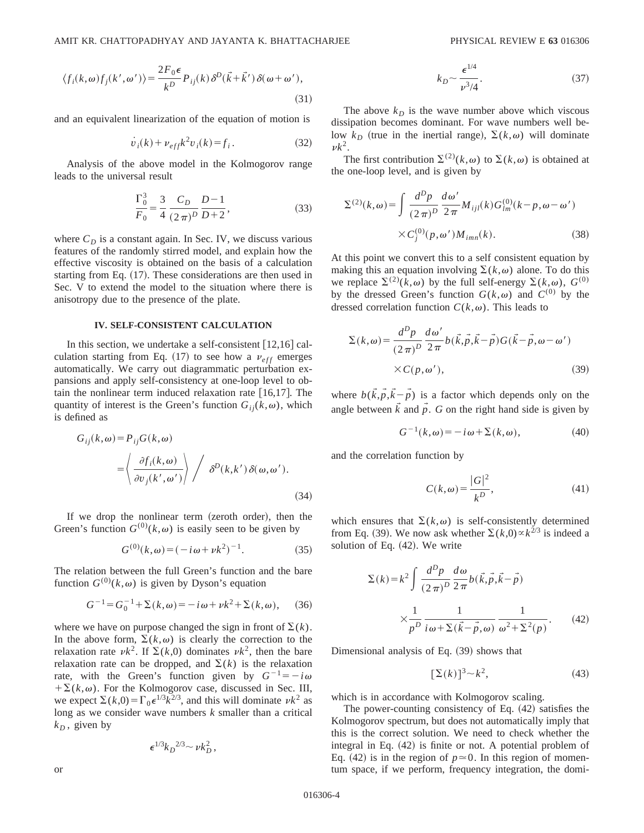$$
\langle f_i(k,\omega)f_j(k',\omega')\rangle = \frac{2F_0\epsilon}{k^D} P_{ij}(k)\delta^D(\vec{k}+\vec{k}')\delta(\omega+\omega'),\tag{31}
$$

and an equivalent linearization of the equation of motion is

$$
\dot{v}_i(k) + \nu_{eff} k^2 v_i(k) = f_i.
$$
 (32)

Analysis of the above model in the Kolmogorov range leads to the universal result

$$
\frac{\Gamma_0^3}{F_0} = \frac{3}{4} \frac{C_D}{(2\pi)^D} \frac{D-1}{D+2},
$$
\n(33)

where  $C_D$  is a constant again. In Sec. IV, we discuss various features of the randomly stirred model, and explain how the effective viscosity is obtained on the basis of a calculation starting from Eq.  $(17)$ . These considerations are then used in Sec. V to extend the model to the situation where there is anisotropy due to the presence of the plate.

### **IV. SELF-CONSISTENT CALCULATION**

In this section, we undertake a self-consistent  $[12,16]$  calculation starting from Eq.  $(17)$  to see how a  $v_{eff}$  emerges automatically. We carry out diagrammatic perturbation expansions and apply self-consistency at one-loop level to obtain the nonlinear term induced relaxation rate  $[16,17]$ . The quantity of interest is the Green's function  $G_{ii}(k,\omega)$ , which is defined as

$$
G_{ij}(k,\omega) = P_{ij}G(k,\omega)
$$
  
=  $\left\langle \frac{\partial f_i(k,\omega)}{\partial v_j(k',\omega')} \right\rangle / \delta^D(k,k') \delta(\omega,\omega').$  (34)

If we drop the nonlinear term  $(z$ eroth order), then the Green's function  $G^{(0)}(k,\omega)$  is easily seen to be given by

$$
G^{(0)}(k,\omega) = (-i\omega + \nu k^2)^{-1}.
$$
 (35)

The relation between the full Green's function and the bare function  $G^{(0)}(k,\omega)$  is given by Dyson's equation

$$
G^{-1} = G_0^{-1} + \Sigma(k, \omega) = -i\omega + \nu k^2 + \Sigma(k, \omega), \quad (36)
$$

where we have on purpose changed the sign in front of  $\Sigma(k)$ . In the above form,  $\Sigma(k,\omega)$  is clearly the correction to the relaxation rate  $\nu k^2$ . If  $\Sigma(k,0)$  dominates  $\nu k^2$ , then the bare relaxation rate can be dropped, and  $\Sigma(k)$  is the relaxation rate, with the Green's function given by  $G^{-1} = -i\omega$  $+\Sigma(k,\omega)$ . For the Kolmogorov case, discussed in Sec. III, we expect  $\Sigma(k,0) = \Gamma_0 \epsilon^{1/3} k^{2/3}$ , and this will dominate  $\nu k^2$  as long as we consider wave numbers *k* smaller than a critical  $k_D$ , given by

$$
\epsilon^{1/3}k_D{}^{2/3} \sim \nu k_D^2\,,
$$

$$
k_D \sim \frac{\epsilon^{1/4}}{\nu^3/4}.\tag{37}
$$

The above  $k_D$  is the wave number above which viscous dissipation becomes dominant. For wave numbers well below  $k_D$  (true in the inertial range),  $\Sigma(k,\omega)$  will dominate  $\nu k^2$ .

The first contribution  $\Sigma^{(2)}(k,\omega)$  to  $\Sigma(k,\omega)$  is obtained at the one-loop level, and is given by

$$
\Sigma^{(2)}(k,\omega) = \int \frac{d^D p}{(2\pi)^D} \frac{d\omega'}{2\pi} M_{ijl}(k) G_{lm}^{(0)}(k-p,\omega-\omega')
$$
  
× $C_j^{(0)}(p,\omega')M_{iml}(k)$ . (38)

At this point we convert this to a self consistent equation by making this an equation involving  $\Sigma(k,\omega)$  alone. To do this we replace  $\Sigma^{(2)}(k,\omega)$  by the full self-energy  $\Sigma(k,\omega)$ ,  $G^{(0)}$ by the dressed Green's function  $G(k,\omega)$  and  $C^{(0)}$  by the dressed correlation function  $C(k, \omega)$ . This leads to

$$
\Sigma(k,\omega) = \frac{d^D p}{(2\pi)^D} \frac{d\omega'}{2\pi} b(\vec{k}, \vec{p}, \vec{k} - \vec{p}) G(\vec{k} - \vec{p}, \omega - \omega')
$$
  
×C(p, \omega'), (39)

where  $b(\vec{k}, \vec{p}, \vec{k} - \vec{p})$  is a factor which depends only on the angle between  $\vec{k}$  and  $\vec{p}$ . *G* on the right hand side is given by

$$
G^{-1}(k,\omega) = -i\,\omega + \Sigma(k,\omega),\tag{40}
$$

and the correlation function by

$$
C(k,\omega) = \frac{|G|^2}{k^D},\tag{41}
$$

which ensures that  $\Sigma(k,\omega)$  is self-consistently determined from Eq. (39). We now ask whether  $\Sigma(k,0) \propto k^{2/3}$  is indeed a solution of Eq.  $(42)$ . We write

$$
\Sigma(k) = k^2 \int \frac{d^D p}{(2\pi)^D} \frac{d\omega}{2\pi} b(\vec{k}, \vec{p}, \vec{k} - \vec{p})
$$

$$
\times \frac{1}{p^D} \frac{1}{i\omega + \Sigma(\vec{k} - \vec{p}, \omega)} \frac{1}{\omega^2 + \Sigma^2(p)}.
$$
(42)

Dimensional analysis of Eq.  $(39)$  shows that

$$
[\Sigma(k)]^3 \sim k^2,\tag{43}
$$

which is in accordance with Kolmogorov scaling.

The power-counting consistency of Eq.  $(42)$  satisfies the Kolmogorov spectrum, but does not automatically imply that this is the correct solution. We need to check whether the integral in Eq.  $(42)$  is finite or not. A potential problem of Eq. (42) is in the region of  $p \approx 0$ . In this region of momentum space, if we perform, frequency integration, the domi-

or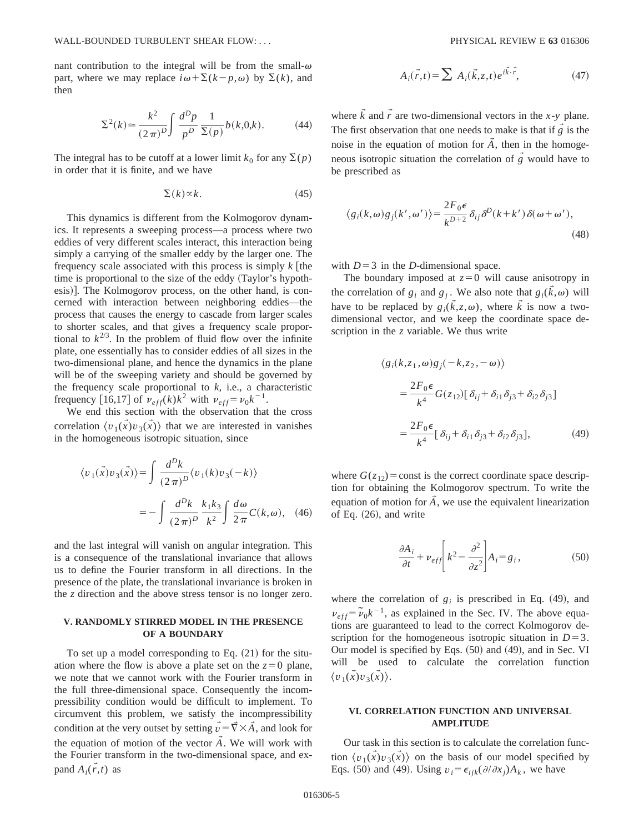nant contribution to the integral will be from the small- $\omega$ part, where we may replace  $i\omega + \Sigma(k-p,\omega)$  by  $\Sigma(k)$ , and then

$$
\Sigma^{2}(k) \approx \frac{k^{2}}{(2\pi)^{D}} \int \frac{d^{D}p}{p^{D}} \frac{1}{\Sigma(p)} b(k,0,k).
$$
 (44)

The integral has to be cutoff at a lower limit  $k_0$  for any  $\Sigma(p)$ in order that it is finite, and we have

$$
\Sigma(k) \propto k. \tag{45}
$$

This dynamics is different from the Kolmogorov dynamics. It represents a sweeping process—a process where two eddies of very different scales interact, this interaction being simply a carrying of the smaller eddy by the larger one. The frequency scale associated with this process is simply  $k$  [the time is proportional to the size of the eddy (Taylor's hypothesis)]. The Kolmogorov process, on the other hand, is concerned with interaction between neighboring eddies—the process that causes the energy to cascade from larger scales to shorter scales, and that gives a frequency scale proportional to  $k^{2/3}$ . In the problem of fluid flow over the infinite plate, one essentially has to consider eddies of all sizes in the two-dimensional plane, and hence the dynamics in the plane will be of the sweeping variety and should be governed by the frequency scale proportional to *k*, i.e., a characteristic frequency [16,17] of  $\nu_{eff}(k)k^2$  with  $\nu_{eff} = \nu_0 k^{-1}$ .

We end this section with the observation that the cross correlation  $\langle v_1(\vec{x})v_3(\vec{x})\rangle$  that we are interested in vanishes in the homogeneous isotropic situation, since

$$
\langle v_1(\vec{x})v_3(\vec{x})\rangle = \int \frac{d^D k}{(2\pi)^D} \langle v_1(k)v_3(-k)\rangle
$$

$$
= -\int \frac{d^D k}{(2\pi)^D} \frac{k_1k_3}{k^2} \int \frac{d\omega}{2\pi} C(k,\omega), \quad (46)
$$

and the last integral will vanish on angular integration. This is a consequence of the translational invariance that allows us to define the Fourier transform in all directions. In the presence of the plate, the translational invariance is broken in the *z* direction and the above stress tensor is no longer zero.

# **V. RANDOMLY STIRRED MODEL IN THE PRESENCE OF A BOUNDARY**

To set up a model corresponding to Eq.  $(21)$  for the situation where the flow is above a plate set on the  $z=0$  plane, we note that we cannot work with the Fourier transform in the full three-dimensional space. Consequently the incompressibility condition would be difficult to implement. To circumvent this problem, we satisfy the incompressibility condition at the very outset by setting  $\vec{v} = \vec{\nabla} \times \vec{A}$ , and look for the equation of motion of the vector  $\vec{A}$ . We will work with the Fourier transform in the two-dimensional space, and expand  $\overrightarrow{A}_i(\overrightarrow{r},t)$  as

$$
A_i(\vec{r},t) = \sum A_i(\vec{k},z,t) e^{i\vec{k}\cdot\vec{r}},
$$
 (47)

where  $\vec{k}$  and  $\vec{r}$  are two-dimensional vectors in the *x*-*y* plane. The first observation that one needs to make is that if  $\vec{g}$  is the noise in the equation of motion for  $\vec{A}$ , then in the homogeneous isotropic situation the correlation of  $\vec{g}$  would have to be prescribed as

$$
\langle g_i(k,\omega)g_j(k',\omega')\rangle = \frac{2F_0\epsilon}{k^{D+2}}\delta_{ij}\delta^D(k+k')\delta(\omega+\omega'),\tag{48}
$$

with  $D=3$  in the *D*-dimensional space.

The boundary imposed at  $z=0$  will cause anisotropy in the correlation of  $g_i$  and  $g_j$ . We also note that  $g_i(\vec{k},\omega)$  will have to be replaced by  $g_i(\vec{k},z,\omega)$ , where  $\vec{k}$  is now a twodimensional vector, and we keep the coordinate space description in the *z* variable. We thus write

$$
\langle g_i(k, z_1, \omega) g_j(-k, z_2, -\omega) \rangle
$$
  
= 
$$
\frac{2F_0 \epsilon}{k^4} G(z_{12}) [\delta_{ij} + \delta_{i1} \delta_{j3} + \delta_{i2} \delta_{j3}]
$$
  
= 
$$
\frac{2F_0 \epsilon}{k^4} [\delta_{ij} + \delta_{i1} \delta_{j3} + \delta_{i2} \delta_{j3}],
$$
 (49)

where  $G(z_{12})$ = const is the correct coordinate space description for obtaining the Kolmogorov spectrum. To write the equation of motion for  $\overline{A}$ , we use the equivalent linearization of Eq.  $(26)$ , and write

$$
\frac{\partial A_i}{\partial t} + \nu_{eff} \left[ k^2 - \frac{\partial^2}{\partial z^2} \right] A_i = g_i, \tag{50}
$$

where the correlation of  $g_i$  is prescribed in Eq. (49), and  $\nu_{eff} = \tilde{\nu}_0 k^{-1}$ , as explained in the Sec. IV. The above equations are guaranteed to lead to the correct Kolmogorov description for the homogeneous isotropic situation in  $D=3$ . Our model is specified by Eqs.  $(50)$  and  $(49)$ , and in Sec. VI will be used to calculate the correlation function  $\langle v_1(\vec{x})v_3(\vec{x})\rangle.$ 

## **VI. CORRELATION FUNCTION AND UNIVERSAL AMPLITUDE**

Our task in this section is to calculate the correlation function  $\langle v_1(\vec{x})v_3(\vec{x})\rangle$  on the basis of our model specified by Eqs. (50) and (49). Using  $v_i = \epsilon_{ijk}(\partial/\partial x_i)A_k$ , we have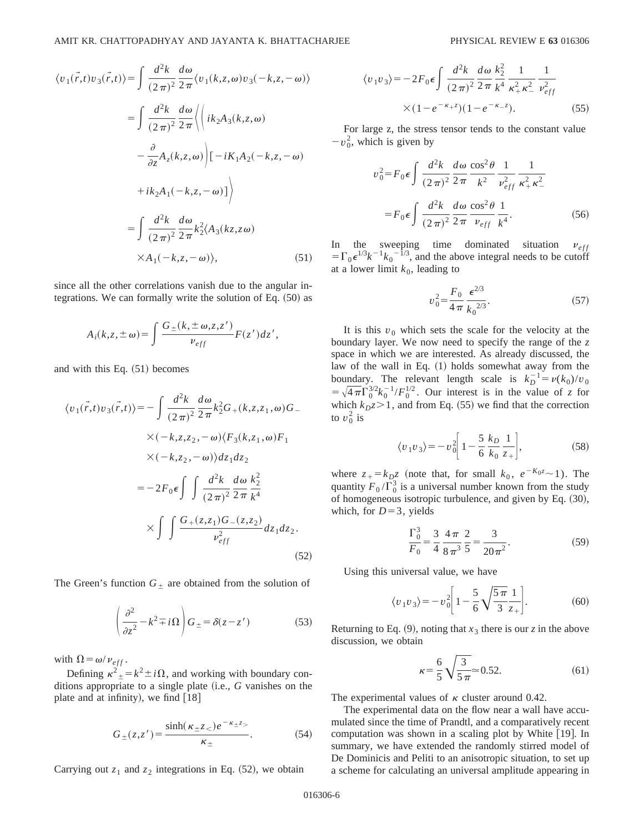$$
\langle v_1(\vec{r},t)v_3(\vec{r},t)\rangle = \int \frac{d^2k}{(2\pi)^2} \frac{d\omega}{2\pi} \langle v_1(k,z,\omega)v_3(-k,z,-\omega)\rangle
$$
  

$$
= \int \frac{d^2k}{(2\pi)^2} \frac{d\omega}{2\pi} \langle ik_2A_3(k,z,\omega)
$$
  

$$
- \frac{\partial}{\partial z} A_z(k,z,\omega) \Big| [-iK_1A_2(-k,z,-\omega)
$$
  

$$
+ ik_2A_1(-k,z,-\omega)] \rangle
$$
  

$$
= \int \frac{d^2k}{(2\pi)^2} \frac{d\omega}{2\pi} k_2^2(A_3(kz,z\omega)
$$
  

$$
\times A_1(-k,z,-\omega) \rangle,
$$
 (51)

since all the other correlations vanish due to the angular integrations. We can formally write the solution of Eq.  $(50)$  as

$$
A_i(k, z, \pm \omega) = \int \frac{G_{\pm}(k, \pm \omega, z, z')}{v_{eff}} F(z') dz',
$$

and with this Eq.  $(51)$  becomes

$$
\langle v_1(\vec{r},t)v_3(\vec{r},t)\rangle = -\int \frac{d^2k}{(2\pi)^2} \frac{d\omega}{2\pi} k_2^2 G_+(k,z,z_1,\omega) G_- \\
\times (-k,z,z_2,-\omega) \langle F_3(k,z_1,\omega) F_1 \\
\times (-k,z_2,-\omega) \rangle dz_1 dz_2 \\
= -2F_0 \epsilon \int \int \frac{d^2k}{(2\pi)^2} \frac{d\omega}{2\pi} \frac{k_2^2}{k^4} \\
\times \int \int \frac{G_+(z,z_1)G_-(z,z_2)}{v_{eff}^2} dz_1 dz_2.
$$
\n(52)

The Green's function  $G_{\pm}$  are obtained from the solution of

$$
\left(\frac{\partial^2}{\partial z^2} - k^2 \mp i\Omega\right) G_{\pm} = \delta(z - z')\tag{53}
$$

with  $\Omega = \omega / v_{eff}$ .

Defining  $\kappa^2 = k^2 \pm i\Omega$ , and working with boundary conditions appropriate to a single plate (i.e., *G* vanishes on the plate and at infinity), we find  $[18]$ 

$$
G_{\pm}(z, z') = \frac{\sinh(\kappa_{\pm} z_{<})e^{-\kappa_{\pm} z_{>}}}{\kappa_{\pm}}.
$$
 (54)

Carrying out  $z_1$  and  $z_2$  integrations in Eq.  $(52)$ , we obtain

$$
\langle v_1 v_3 \rangle = -2F_0 \epsilon \int \frac{d^2 k}{(2\pi)^2} \frac{d\omega}{2\pi} \frac{k_2^2}{k^4} \frac{1}{\kappa_+^2 \kappa_-^2} \frac{1}{v_{eff}^2} \times (1 - e^{-\kappa_+ z})(1 - e^{-\kappa_- z}). \tag{55}
$$

For large z, the stress tensor tends to the constant value  $-v_0^2$ , which is given by

$$
v_0^2 = F_0 \epsilon \int \frac{d^2 k}{(2\pi)^2} \frac{d\omega}{2\pi} \frac{\cos^2 \theta}{k^2} \frac{1}{\nu_{eff}^2} \frac{1}{\kappa_+^2 \kappa_-^2}
$$

$$
= F_0 \epsilon \int \frac{d^2 k}{(2\pi)^2} \frac{d\omega}{2\pi} \frac{\cos^2 \theta}{\nu_{eff}} \frac{1}{k^4}.
$$
(56)

In the sweeping time dominated situation  $v_{eff}$  $=\Gamma_0 \epsilon^{1/3} k^{-1} k_0^{-1/3}$ , and the above integral needs to be cutoff at a lower limit  $k_0$ , leading to

$$
v_0^2 = \frac{F_0}{4\pi} \frac{\epsilon^{2/3}}{k_0^{2/3}}.
$$
 (57)

It is this  $v_0$  which sets the scale for the velocity at the boundary layer. We now need to specify the range of the *z* space in which we are interested. As already discussed, the law of the wall in Eq.  $(1)$  holds somewhat away from the boundary. The relevant length scale is  $k_D^{-1} = \nu(k_0)/v_0$  $=\sqrt{4\pi}\Gamma_0^{3/2}k_0^{-1}/F_0^{1/2}$ . Our interest is in the value of *z* for which  $k_D z > 1$ , and from Eq. (55) we find that the correction to  $v_0^2$  is

$$
\langle v_1 v_3 \rangle = -v_0^2 \bigg[ 1 - \frac{5}{6} \frac{k_D}{k_0} \frac{1}{z_+} \bigg],\tag{58}
$$

where  $z_+ = k_D z$  (note that, for small  $k_0$ ,  $e^{-K_0 z} \sim 1$ ). The quantity  $F_0/\Gamma_0^3$  is a universal number known from the study of homogeneous isotropic turbulence, and given by Eq. (30), which, for  $D=3$ , yields

$$
\frac{\Gamma_0^3}{F_0} = \frac{3}{4} \frac{4\pi}{8\pi^3} \frac{2}{5} = \frac{3}{20\pi^2}.
$$
 (59)

Using this universal value, we have

$$
\langle v_1 v_3 \rangle = -v_0^2 \bigg[ 1 - \frac{5}{6} \sqrt{\frac{5\pi}{3}} \frac{1}{z_+} \bigg]. \tag{60}
$$

Returning to Eq. (9), noting that  $x_3$  there is our *z* in the above discussion, we obtain

$$
\kappa = \frac{6}{5} \sqrt{\frac{3}{5 \pi}} \approx 0.52. \tag{61}
$$

The experimental values of  $\kappa$  cluster around 0.42.

The experimental data on the flow near a wall have accumulated since the time of Prandtl, and a comparatively recent computation was shown in a scaling plot by White [19]. In summary, we have extended the randomly stirred model of De Dominicis and Peliti to an anisotropic situation, to set up a scheme for calculating an universal amplitude appearing in